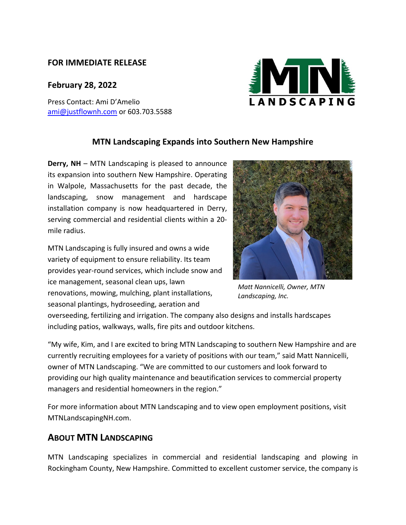## **FOR IMMEDIATE RELEASE**

## **February 28, 2022**

Press Contact: Ami D'Amelio [ami@justflownh.com](mailto:ami@justflownh.com) or 603.703.5588



## **MTN Landscaping Expands into Southern New Hampshire**

**Derry, NH** – MTN Landscaping is pleased to announce its expansion into southern New Hampshire. Operating in Walpole, Massachusetts for the past decade, the landscaping, snow management and hardscape installation company is now headquartered in Derry, serving commercial and residential clients within a 20 mile radius.

MTN Landscaping is fully insured and owns a wide variety of equipment to ensure reliability. Its team provides year-round services, which include snow and ice management, seasonal clean ups, lawn renovations, mowing, mulching, plant installations, seasonal plantings, hydroseeding, aeration and



*Matt Nannicelli, Owner, MTN Landscaping, Inc.*

overseeding, fertilizing and irrigation. The company also designs and installs hardscapes including patios, walkways, walls, fire pits and outdoor kitchens.

"My wife, Kim, and I are excited to bring MTN Landscaping to southern New Hampshire and are currently recruiting employees for a variety of positions with our team," said Matt Nannicelli, owner of MTN Landscaping. "We are committed to our customers and look forward to providing our high quality maintenance and beautification services to commercial property managers and residential homeowners in the region."

For more information about MTN Landscaping and to view open employment positions, visit MTNLandscapingNH.com.

## **ABOUT MTN LANDSCAPING**

MTN Landscaping specializes in commercial and residential landscaping and plowing in Rockingham County, New Hampshire. Committed to excellent customer service, the company is